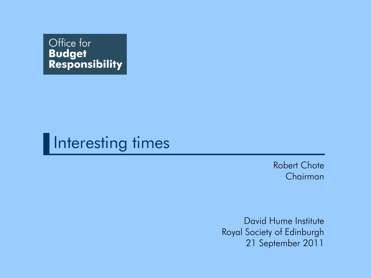



Robert Chote Chairman

David Hume Institute Royal Society of Edinburgh 21 September 2011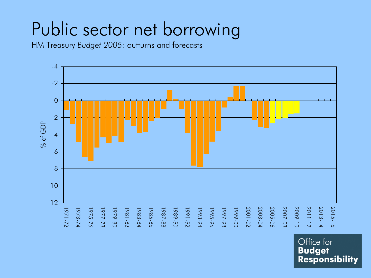# Public sector net borrowing

HM Treasury *Budget 2005*: outturns and forecasts

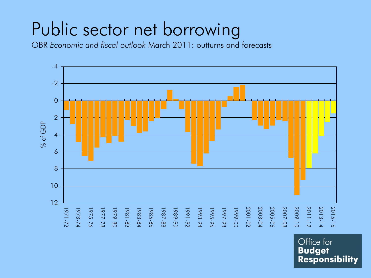# Public sector net borrowing

OBR *Economic and fiscal outlook* March 2011: outturns and forecasts

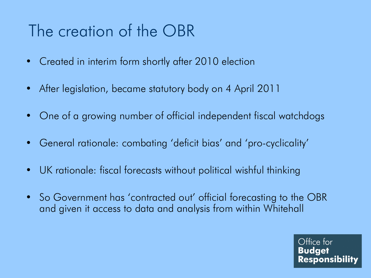### The creation of the OBR

- Created in interim form shortly after 2010 election
- After legislation, became statutory body on 4 April 2011
- One of a growing number of official independent fiscal watchdogs
- General rationale: combating 'deficit bias' and 'pro-cyclicality'
- UK rationale: fiscal forecasts without political wishful thinking
- So Government has 'contracted out' official forecasting to the OBR and given it access to data and analysis from within Whitehall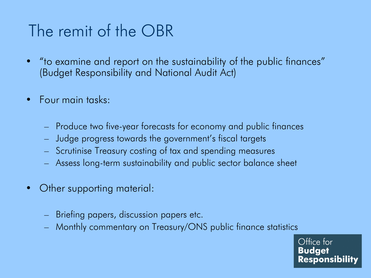## The remit of the OBR

- "to examine and report on the sustainability of the public finances" (Budget Responsibility and National Audit Act)
- Four main tasks:
	- Produce two five-year forecasts for economy and public finances
	- Judge progress towards the government's fiscal targets
	- Scrutinise Treasury costing of tax and spending measures
	- Assess long-term sustainability and public sector balance sheet
- Other supporting material:
	- Briefing papers, discussion papers etc.
	- Monthly commentary on Treasury/ONS public finance statistics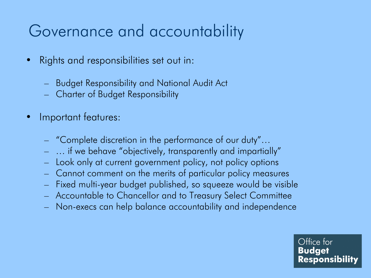## Governance and accountability

- Rights and responsibilities set out in:
	- Budget Responsibility and National Audit Act
	- Charter of Budget Responsibility
- Important features:
	- "Complete discretion in the performance of our duty"…
	- … if we behave "objectively, transparently and impartially"
	- Look only at current government policy, not policy options
	- Cannot comment on the merits of particular policy measures
	- Fixed multi-year budget published, so squeeze would be visible
	- Accountable to Chancellor and to Treasury Select Committee
	- Non-execs can help balance accountability and independence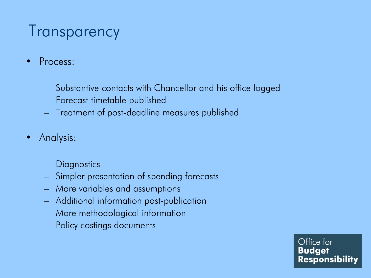### **Transparency**

- Process:
	- Substantive contacts with Chancellor and his office logged
	- Forecast timetable published
	- Treatment of post-deadline measures published
- Analysis:
	- Diagnostics
	- Simpler presentation of spending forecasts
	- More variables and assumptions
	- Additional information post-publication
	- More methodological information
	- Policy costings documents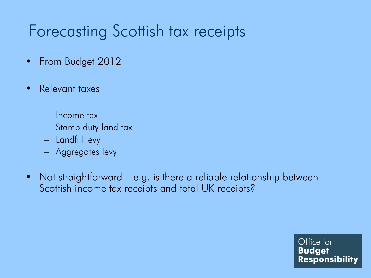## Forecasting Scottish tax receipts

- From Budget 2012
- Relevant taxes
	- Income tax
	- Stamp duty land tax
	- Landfill levy
	- Aggregates levy
- Not straightforward e.g. is there a reliable relationship between Scottish income tax receipts and total UK receipts?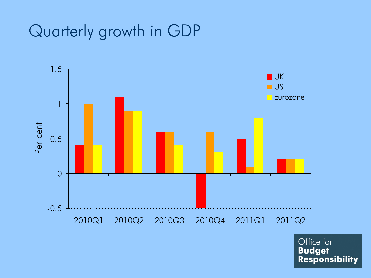### Quarterly growth in GDP

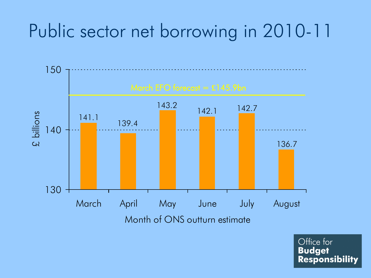# Public sector net borrowing in 2010-11

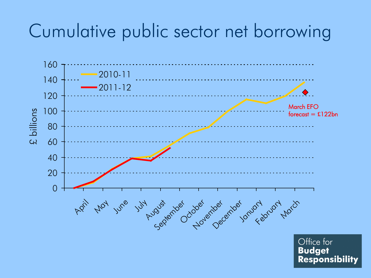## Cumulative public sector net borrowing

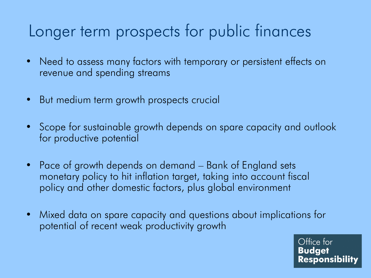### Longer term prospects for public finances

- Need to assess many factors with temporary or persistent effects on revenue and spending streams
- But medium term growth prospects crucial
- Scope for sustainable growth depends on spare capacity and outlook for productive potential
- Pace of growth depends on demand Bank of England sets monetary policy to hit inflation target, taking into account fiscal policy and other domestic factors, plus global environment
- Mixed data on spare capacity and questions about implications for potential of recent weak productivity growth